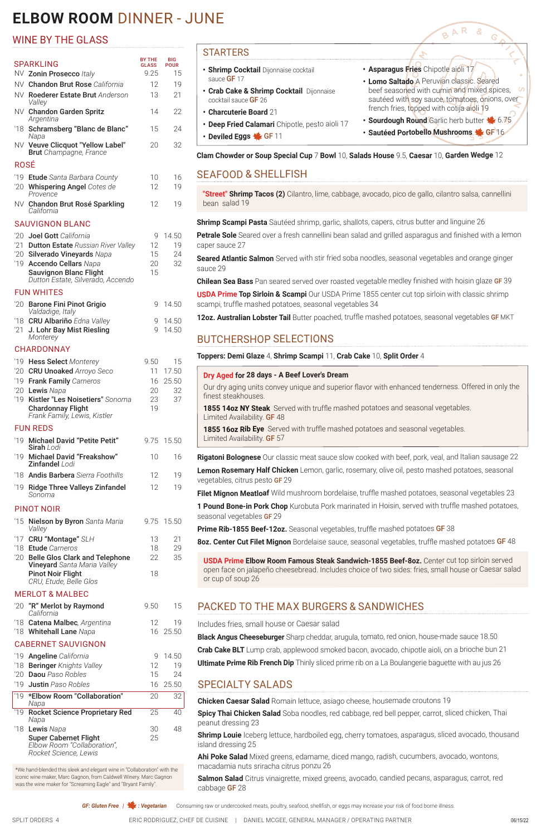# **ELBOW ROOM** DINNER - JUNE

- **• Asparagus Fries** Chipotle aioli 17
- **• Lomo Saltado** A Peruvian classic. Seared S beef seasoned with cumin and mixed spices, sautéed with soy sauce, tomatoes, onions, over french fries, topped with cotija aioli 19

BAR

G

- **Sourdough Round Garlic herb butter \**6.75
- **Sautéed Portobello Mushrooms Ste GF 16**

#### STARTERS

- **• Shrimp Cocktail** Dijonnaise cocktail sauce **GF** 17
- **• Crab Cake & Shrimp Cocktail** Dijonnaise cocktail sauce GF 26
- **• Charcuterie Board** 21
- **• Deep Fried Calamari** Chipotle, pesto aioli 17
- **• Deviled Eggs** GF 11

**USDA Prime Top Sirloin & Scampi** Our USDA Prime 1855 center cut top sirloin with classic shrimp scampi, truffle mashed potatoes, seasonal vegetables 34

**Clam Chowder or Soup Special Cup** 7 **Bowl** 10, **Salads House** 9.5, **Caesar** 10, **Garden Wedge** 12

### SEAFOOD & SHELLFISH

**"Street" Shrimp Tacos (2)** Cilantro, lime, cabbage, avocado, pico de gallo, cilantro salsa, cannellini bean salad 19

**Shrimp Scampi Pasta** Sautéed shrimp, garlic, shallots, capers, citrus butter and linguine 26

**Petrale Sole** Seared over a fresh cannellini bean salad and grilled asparagus and finished with a lemon caper sauce 27

**Seared Atlantic Salmon** Served with stir fried soba noodles, seasonal vegetables and orange ginger sauce 29

**Chilean Sea Bass** Pan seared served over roasted vegetable medley finished with hoisin glaze GF 39

**12oz. Australian Lobster Tail** Butter poached, truffle mashed potatoes, seasonal vegetables GF MKT

#### BUTCHERSHOP SELECTIONS

**Toppers: Demi Glaze** 4, **Shrimp Scampi** 11, **Crab Cake** 10, **Split Order** 4

| Dry Aged for 28 days - A Beef Lover's Dream<br>Our dry aging units convey unique and superior flavor with enhanced tenderness. Offered in only the<br>finest steakhouses.<br><b>1855 14oz NY Steak</b> Served with truffle mashed potatoes and seasonal vegetables.<br>Limited Availability. <b>GF</b> 48<br><b>1855 160z Rib Eye</b> Served with truffle mashed potatoes and seasonal vegetables.<br>Limited Availability. <b>GF</b> 57<br><b>Rigatoni Bolognese</b> Our classic meat sauce slow cooked with beef, pork, veal, and Italian sausage 22<br>Lemon Rosemary Half Chicken Lemon, garlic, rosemary, olive oil, pesto mashed potatoes, seasonal<br>vegetables, citrus pesto GF 29<br>Filet Mignon Meatloaf Wild mushroom bordelaise, truffle mashed potatoes, seasonal vegetables 23<br><b>1 Pound Bone-in Pork Chop</b> Kurobuta Pork marinated in Hoisin, served with truffle mashed potatoes,<br>seasonal vegetables GF 29<br><b>Prime Rib-1855 Beef-12oz.</b> Seasonal vegetables, truffle mashed potatoes GF 38<br>8oz. Center Cut Filet Mignon Bordelaise sauce, seasonal vegetables, truffle mashed potatoes GF 48<br><b>USDA Prime Elbow Room Famous Steak Sandwich-1855 Beef-8oz.</b> Center cut top sirloin served<br>open face on jalapeño cheesebread. Includes choice of two sides: fries, small house or Caesar salad<br>or cup of soup 26 |  |
|--------------------------------------------------------------------------------------------------------------------------------------------------------------------------------------------------------------------------------------------------------------------------------------------------------------------------------------------------------------------------------------------------------------------------------------------------------------------------------------------------------------------------------------------------------------------------------------------------------------------------------------------------------------------------------------------------------------------------------------------------------------------------------------------------------------------------------------------------------------------------------------------------------------------------------------------------------------------------------------------------------------------------------------------------------------------------------------------------------------------------------------------------------------------------------------------------------------------------------------------------------------------------------------------------------------------------------------------------------------------|--|
|                                                                                                                                                                                                                                                                                                                                                                                                                                                                                                                                                                                                                                                                                                                                                                                                                                                                                                                                                                                                                                                                                                                                                                                                                                                                                                                                                                    |  |
|                                                                                                                                                                                                                                                                                                                                                                                                                                                                                                                                                                                                                                                                                                                                                                                                                                                                                                                                                                                                                                                                                                                                                                                                                                                                                                                                                                    |  |
|                                                                                                                                                                                                                                                                                                                                                                                                                                                                                                                                                                                                                                                                                                                                                                                                                                                                                                                                                                                                                                                                                                                                                                                                                                                                                                                                                                    |  |
|                                                                                                                                                                                                                                                                                                                                                                                                                                                                                                                                                                                                                                                                                                                                                                                                                                                                                                                                                                                                                                                                                                                                                                                                                                                                                                                                                                    |  |
|                                                                                                                                                                                                                                                                                                                                                                                                                                                                                                                                                                                                                                                                                                                                                                                                                                                                                                                                                                                                                                                                                                                                                                                                                                                                                                                                                                    |  |
|                                                                                                                                                                                                                                                                                                                                                                                                                                                                                                                                                                                                                                                                                                                                                                                                                                                                                                                                                                                                                                                                                                                                                                                                                                                                                                                                                                    |  |
|                                                                                                                                                                                                                                                                                                                                                                                                                                                                                                                                                                                                                                                                                                                                                                                                                                                                                                                                                                                                                                                                                                                                                                                                                                                                                                                                                                    |  |
|                                                                                                                                                                                                                                                                                                                                                                                                                                                                                                                                                                                                                                                                                                                                                                                                                                                                                                                                                                                                                                                                                                                                                                                                                                                                                                                                                                    |  |
|                                                                                                                                                                                                                                                                                                                                                                                                                                                                                                                                                                                                                                                                                                                                                                                                                                                                                                                                                                                                                                                                                                                                                                                                                                                                                                                                                                    |  |
|                                                                                                                                                                                                                                                                                                                                                                                                                                                                                                                                                                                                                                                                                                                                                                                                                                                                                                                                                                                                                                                                                                                                                                                                                                                                                                                                                                    |  |
|                                                                                                                                                                                                                                                                                                                                                                                                                                                                                                                                                                                                                                                                                                                                                                                                                                                                                                                                                                                                                                                                                                                                                                                                                                                                                                                                                                    |  |

#### SPARKLING BY THE BY THE **GLASS** BIG POUR NV **Zonin Prosecco** *Italy* 9.25 15 NV Chandon Brut Rose *California* 12 19 NV Roederer Estate Brut *Anderson Valley* 13 21 NV Chandon Garden Spritz *Argentina* 14 22 '18 Schramsberg "Blanc de Blanc" *Napa* 15 24 NV Veuve Clicquot "Yellow Label" Brut *Champagne, France* 20 32 ROSÉ '19 Etude *Santa Barbara County* 10 16 '20 Whispering Angel *Cotes de Provence* 12 19 NV Chandon Brut Rosé Sparkling *California* 12 19 SAUVIGNON BLANC '20 **Joel Gott** California **120 14.50** '21 Dutton Estate *Russian River Valley* 12 19 '20 Silverado Vineyards *Napa* 15 24 '19 Accendo Cellars *Napa* 20 32 Sauvignon Blanc Flight *Dutton Estate, Silverado, Accendo* 15 FUN WHITES '20 Barone Fini Pinot Grigio *Valdadige, Italy* 9 14.50 '18 CRU Albariño *Edna Valley* 9 14.50 '21 J. Lohr Bay Mist Riesling *Monterey* 9 14.50 CHARDONNAY '19 Hess Select *Monterey* 9.50 15 '20 CRU Unoaked *Arroyo Seco* 11 17.50 '19 Frank Family *Carneros* 16 25.50 '20 **Lewis** Napa 20 32 '19 Kistler "Les Noisetiers" *Sonoma* 23 37 Chardonnay Flight *Frank Family, Lewis, Kistler* 19 FUN REDS '19 Michael David "Petite Petit" Sirah *Lodi* 9.75 15.50 '19 Michael David "Freakshow" Zinfandel *Lodi* 10 16 '18 Andis Barbera *Sierra Foothills* 12 19 '19 Ridge Three Valleys Zinfandel *Sonoma* 12 19 PINOT NOIR '15 Nielson by Byron *Santa Maria Valley* 9.75 15.50 '17 **CRU "Montage"** SLH 13 21 '18 Etude *Carneros* 18 29 '20 Belle Glos Clark and Telephone Vineyard *Santa Maria Valley* 22 35 Pinot Noir Flight *CRU, Etude, Belle Glos*  18

#### PACKED TO THE MAX BURGERS & SANDWICHES

Includes fries, small house or Caesar salad

**Black Angus Cheeseburger** Sharp cheddar, arugula, tomato, red onion, house-made sauce 18.50

**Crab Cake BLT** Lump crab, applewood smoked bacon, avocado, chipotle aioli, on a brioche bun 21 **Ultimate Prime Rib French Dip** Thinly sliced prime rib on a La Boulangerie baguette with au jus 26

#### SPECIALTY SALADS

**Chicken Caesar Salad** Romain lettuce, asiago cheese, housemade croutons 19

**Spicy Thai Chicken Salad** Soba noodles, red cabbage, red bell pepper, carrot, sliced chicken, Thai peanut dressing 23

**Shrimp Louie** Iceberg lettuce, hardboiled egg, cherry tomatoes, asparagus, sliced avocado, thousand island dressing 25

**Ahi Poke Salad** Mixed greens, edamame, diced mango, radish, cucumbers, avocado, wontons, macadamia nuts sriracha citrus ponzu 26

**Salmon Salad** Citrus vinaigrette, mixed greens, avocado, candied pecans, asparagus, carrot, red cabbage GF 28

**GF: Gluten Free | 1: Vegetarian** Consuming raw or undercooked meats, poultry, seafood, shellfish, or eggs may increase your risk of food borne illness.

SPLIT ORDERS 4 ERIC RODRIGUEZ, CHEF DE CUISINE | DANIEL MCGEE, GENERAL MANAGER / OPERATING PARTNER

#### WINE BY THE GLASS

#### MERLOT & MALBEC

'20 "R" Merlot by Raymond

9.50 15

|    | California                                                                           |    |          |
|----|--------------------------------------------------------------------------------------|----|----------|
|    | '18 Catena Malbec, Argentina                                                         | 12 | 19       |
|    | '18 Whitehall Lane Napa                                                              |    | 16 25.50 |
|    | <b>CABERNET SAUVIGNON</b>                                                            |    |          |
|    | '19 <b>Angeline</b> California                                                       | q  | 14.50    |
|    | '18 Beringer Knights Valley                                                          | 12 | 19       |
|    | '20 <b>Daou</b> Paso Robles                                                          | 15 | 24       |
|    | '19 <b>Justin</b> Paso Robles                                                        |    | 16 25.50 |
| 19 | *Elbow Room "Collaboration"<br>Napa                                                  | 20 | 32       |
|    | '19 Rocket Science Proprietary Red<br>Napa                                           | 25 | 40       |
|    | '18 Lewis Napa                                                                       | 30 | 48       |
|    | <b>Super Cabernet Flight</b><br>Elbow Room "Collaboration",<br>Rocket Science, Lewis | 25 |          |

\*We hand-blended this sleek and elegant wine in "Collaboration" with the iconic wine maker, Marc Gagnon, from Caldwell Winery. Marc Gagnon was the wine maker for "Screaming Eagle" and "Bryant Family".